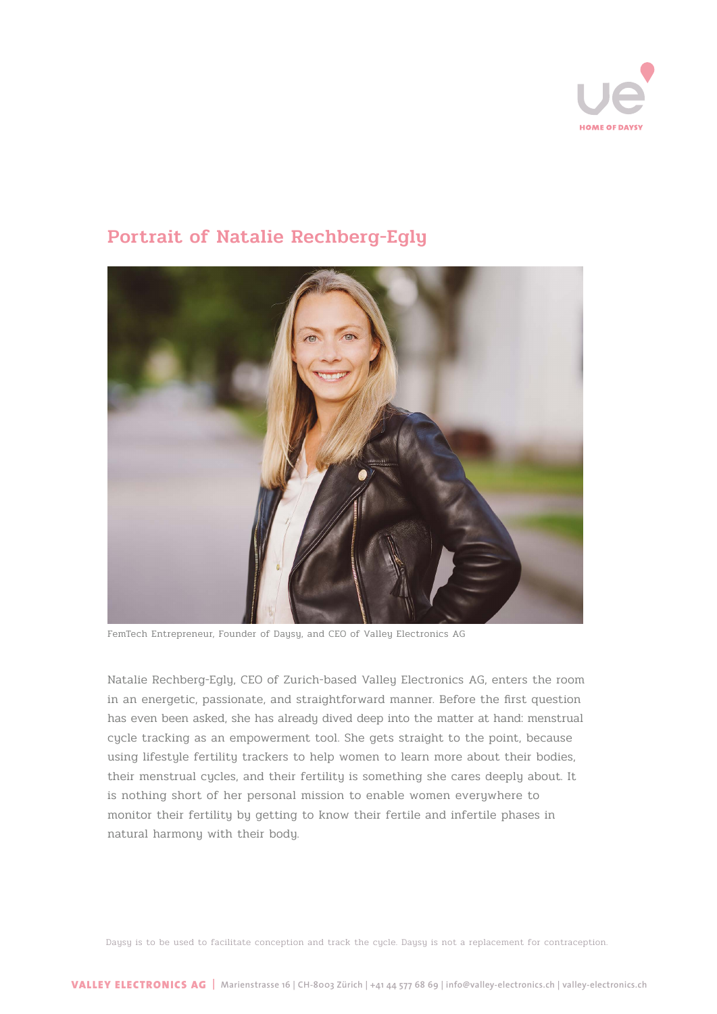

# Portrait of Natalie Rechberg-Egly

FemTech Entrepreneur, Founder of Daysy, and CEO of Valley Electronics AG

Natalie Rechberg-Egly, CEO of Zurich-based Valley Electronics AG, enters the room in an energetic, passionate, and straightforward manner. Before the first question has even been asked, she has already dived deep into the matter at hand: menstrual cycle tracking as an empowerment tool. She gets straight to the point, because using lifestyle fertility trackers to help women to learn more about their bodies, their menstrual cycles, and their fertility is something she cares deeply about. It is nothing short of her personal mission to enable women everywhere to monitor their fertility by getting to know their fertile and infertile phases in natural harmony with their body.

Daysy is to be used to facilitate conception and track the cycle. Daysy is not a replacement for contraception.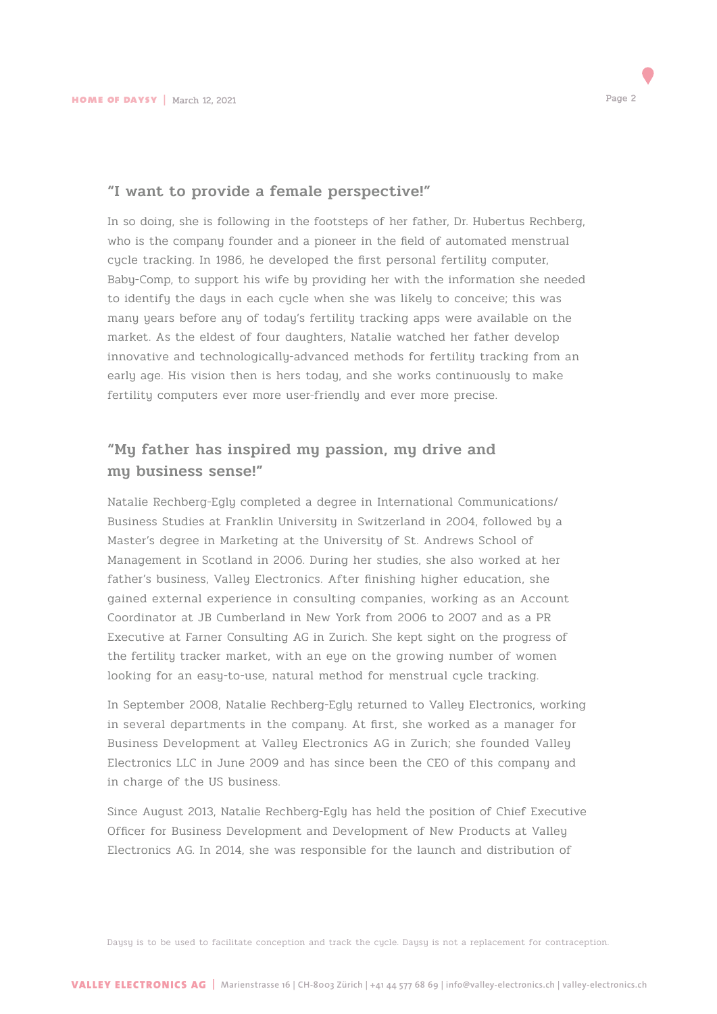

## "I want to provide a female perspective!"

In so doing, she is following in the footsteps of her father, Dr. Hubertus Rechberg, who is the company founder and a pioneer in the field of automated menstrual cycle tracking. In 1986, he developed the first personal fertility computer, Baby-Comp, to support his wife by providing her with the information she needed to identify the days in each cycle when she was likely to conceive; this was many years before any of today's fertility tracking apps were available on the market. As the eldest of four daughters, Natalie watched her father develop innovative and technologically-advanced methods for fertility tracking from an early age. His vision then is hers today, and she works continuously to make fertility computers ever more user-friendly and ever more precise.

## "My father has inspired my passion, my drive and my business sense!"

Natalie Rechberg-Egly completed a degree in International Communications/ Business Studies at Franklin University in Switzerland in 2004, followed by a Master's degree in Marketing at the University of St. Andrews School of Management in Scotland in 2006. During her studies, she also worked at her father's business, Valley Electronics. After finishing higher education, she gained external experience in consulting companies, working as an Account Coordinator at JB Cumberland in New York from 2006 to 2007 and as a PR Executive at Farner Consulting AG in Zurich. She kept sight on the progress of the fertility tracker market, with an eye on the growing number of women looking for an easy-to-use, natural method for menstrual cycle tracking.

In September 2008, Natalie Rechberg-Egly returned to Valley Electronics, working in several departments in the company. At first, she worked as a manager for Business Development at Valley Electronics AG in Zurich; she founded Valley Electronics LLC in June 2009 and has since been the CEO of this company and in charge of the US business.

Since August 2013, Natalie Rechberg-Egly has held the position of Chief Executive Officer for Business Development and Development of New Products at Valley Electronics AG. In 2014, she was responsible for the launch and distribution of

Daysy is to be used to facilitate conception and track the cycle. Daysy is not a replacement for contraception.